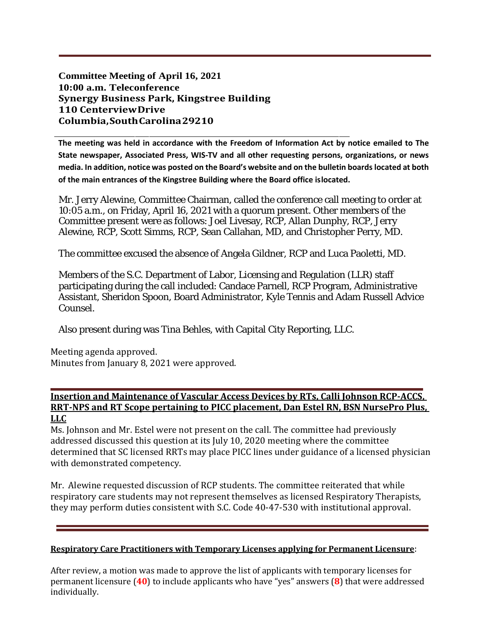**Committee Meeting of April 16, 2021 10:00 a.m. Teleconference Synergy Business Park, Kingstree Building 110 CenterviewDrive Columbia,SouthCarolina29210**

**The meeting was held in accordance with the Freedom of Information Act by notice emailed to The State newspaper, Associated Press, WIS-TV and all other requesting persons, organizations, or news media. In addition, notice was posted on the Board's website and on the bulletin boards located at both of the main entrances of the Kingstree Building where the Board office islocated.**

Mr. Jerry Alewine, Committee Chairman, called the conference call meeting to order at 10:05 a.m., on Friday, April 16, 2021 with a quorum present. Other members of the Committee present were as follows: Joel Livesay, RCP, Allan Dunphy, RCP, Jerry Alewine, RCP, Scott Simms, RCP, Sean Callahan, MD, and Christopher Perry, MD.

The committee excused the absence of Angela Gildner, RCP and Luca Paoletti, MD.

Members of the S.C. Department of Labor, Licensing and Regulation (LLR) staff participating during the call included: Candace Parnell, RCP Program, Administrative Assistant, Sheridon Spoon, Board Administrator, Kyle Tennis and Adam Russell Advice Counsel.

Also present during was Tina Behles, with Capital City Reporting, LLC.

Meeting agenda approved. Minutes from January 8, 2021 were approved.

## **Insertion and Maintenance of Vascular Access Devices by RTs, Calli Johnson RCP-ACCS, RRT-NPS and RT Scope pertaining to PICC placement, Dan Estel RN, BSN NursePro Plus, LLC**

Ms. Johnson and Mr. Estel were not present on the call. The committee had previously addressed discussed this question at its July 10, 2020 meeting where the committee determined that SC licensed RRTs may place PICC lines under guidance of a licensed physician with demonstrated competency.

Mr. Alewine requested discussion of RCP students. The committee reiterated that while respiratory care students may not represent themselves as licensed Respiratory Therapists, they may perform duties consistent with S.C. Code 40-47-530 with institutional approval.

## **Respiratory Care Practitioners with Temporary Licenses applying for Permanent Licensure**:

After review, a motion was made to approve the list of applicants with temporary licenses for permanent licensure (**40**) to include applicants who have "yes" answers (**8**) that were addressed individually.